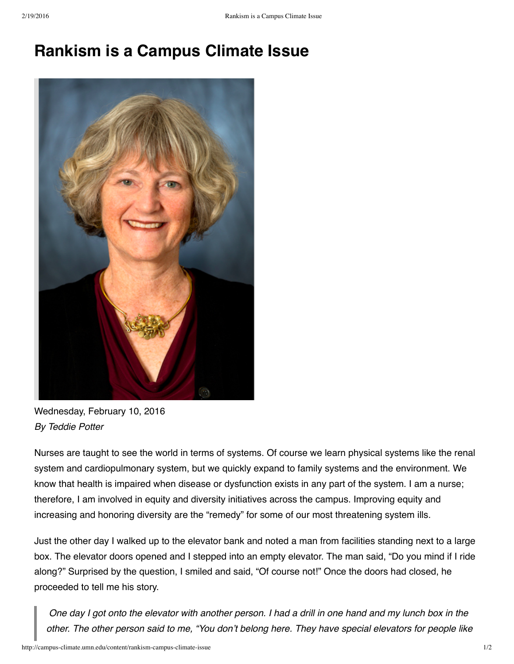## **Rankism is a Campus Climate Issue**



Wednesday, February 10, 2016 *By Teddie Potter*

Nurses are taught to see the world in terms of systems. Of course we learn physical systems like the renal system and cardiopulmonary system, but we quickly expand to family systems and the environment. We know that health is impaired when disease or dysfunction exists in any part of the system. I am a nurse; therefore, I am involved in equity and diversity initiatives across the campus. Improving equity and increasing and honoring diversity are the "remedy" for some of our most threatening system ills.

Just the other day I walked up to the elevator bank and noted a man from facilities standing next to a large box. The elevator doors opened and I stepped into an empty elevator. The man said, "Do you mind if I ride along?" Surprised by the question, I smiled and said, "Of course not!" Once the doors had closed, he proceeded to tell me his story.

One day I got onto the elevator with another person. I had a drill in one hand and my lunch box in the other. The other person said to me, "You don't belong here. They have special elevators for people like